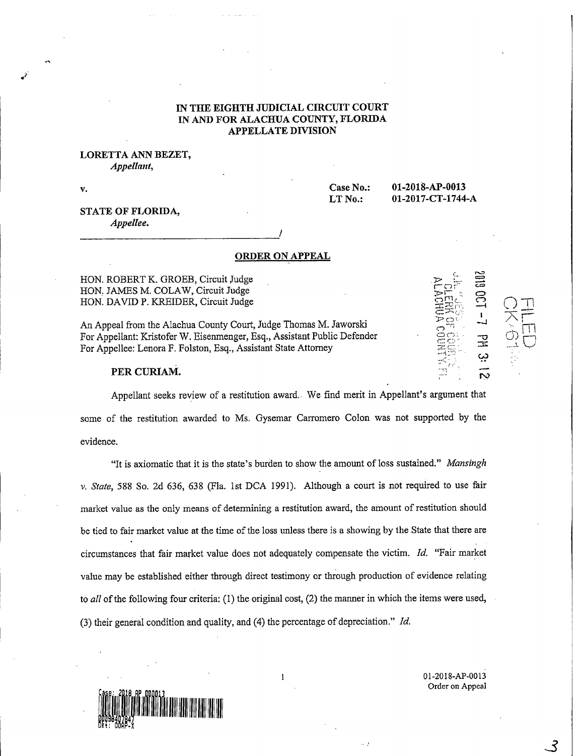## IN THE EIGHTH JUDICIAL CIRCUIT COURT IN AND FOR ALACHUA COUNTY, FLORIDA APPELLATE DIVISION

### LORETTA ANN BEZET, Appellant,

V.

Case No.: 01-2018-AP-0013 LT No.: 01-2017-CT-1744-A

## STATE OF FLORIDA, Appellee.

#### ORDER ON APPEAL

HON. ROBERT K. GROEB, Circuit Judge HON. JAMES M. COLAW, Circuit Judge HON. DAVID P. KREIDER, Circuit Judge

An Appeal from the Alachua County Court, Judge Thomas M. Jaworski For Appellant: Kristofer W. Eisenmenger, Esq., Assistant Public Defender For Appellee: Lenora F. Folston, Esq., Assistant State Attorney

## PER CURIAM.

 $\overline{\mathbf{C}}$  $-4$ (1)  $\overline{Q}$ 

 $\bigcirc$ 

Appellant seeks review of a restitution award. We find merit in Appellant's argument that some of the restitution awarded to Ms. Gysemar Carromero Colon was not supported by the evidence.

"It is axiomatic that it is the state's burden to show the amount of loss sustained." Mansingh v. State, 588 So. 2d 636, 638 (Fla. 1st DCA 1991). Although a court is not required to use fair market value as the only means of determining a restitution award, the amount of restitution should be tied to fair market value at the time of the loss unless there is a showing by the State that there are circumstances that fair market value does not adequately compensate the victim. Id. "Fair market value may be established either through direct testimony or through production of evidence relating to all of the following four criteria: (1) the original cost, (2) the manner in which the items were used, (3) their general condition and quality, and (4) the percentage of depreciation." Id.



01-2018-AP-0013 Order on Appeal

3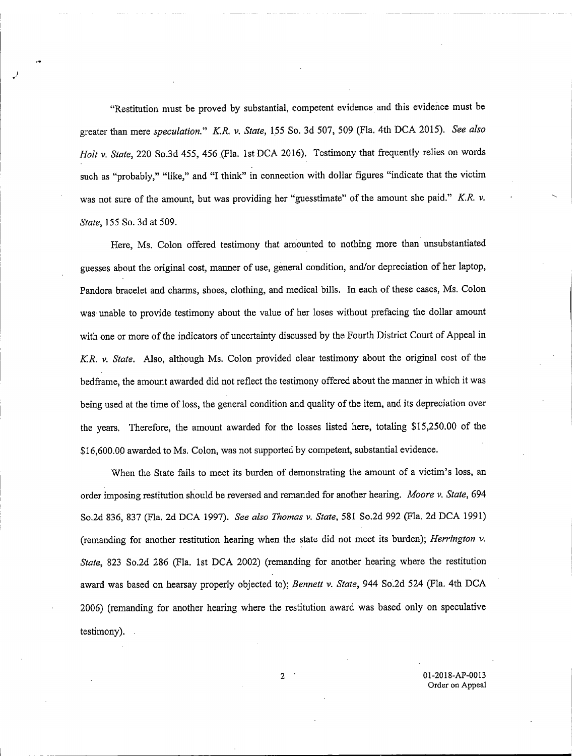"Restitution must be proved by substantial, competent evidence and this evidence must be greater than mere speculation." K.R. v. State, 155 So. 3d 507, 509 (Fla. 4th DCA 2015). See also Holt v. State, 220 So.3d 455, 456 (Fla. 1st DCA 2016). Testimony that frequently relies on words such as "probably," "like," and "I think" in connection with dollar figures "indicate that the victim was not sure of the amount, but was providing her "guesstimate" of the amount she paid." K.R. v. State, 155 So. 3d at 509.

Here, Ms. Colon offered testimony that amounted to nothing more than unsubstantiated guesses about the original cost, manner of use, general condition, and/or depreciation of her laptop, Pandora bracelet and charms, shoes, clothing, and medical bills, In each of these cases, Ms. Colon was unable to provide testimony about the value of her loses without prefacing the dollar amount with one or more of the indicators of uncertainty discussed by the Fourth District Court of Appeal in K.R. v. State. Also, although Ms. Colon provided clear testimony about the original cost of the bedframe, the amount awarded did not reflect the testimony offered about the manner in which it was being used at the time of loss, the general condition and quality of the item, and its depreciation over the years. Therefore, the amount awarded for the losses listed here, totaling \$15,250.00 of the \$16,600.00 awarded to Ms. Colon, was not supported by competent, substantial evidence.

When the State fails to meet its burden of demonstrating the amount of a victim's loss, an order imposing restitution should be reversed and remanded for another hearing. Moore v. State, 694 So.2d 836, 837 (Fla. 2d DCA 1997). See also Thomas v. State, 581 So.2d 992 (Fla. 2d DCA 1991) (remanding for another restitution hearing when the state did not meet its burden); Herrington v. State, 823 So.2d 286 (Fla. 1st DCA 2002) (remanding for another hearing where the restitution award was based on hearsay properly objected to); Bennett v. State, 944 So.2d 524 (Fla. 4th DCA 2006) (remanding for another hearing where the restitution award was based only on speculative testimony). .

> 2 01-2018-AP-0013 Order on Appeal